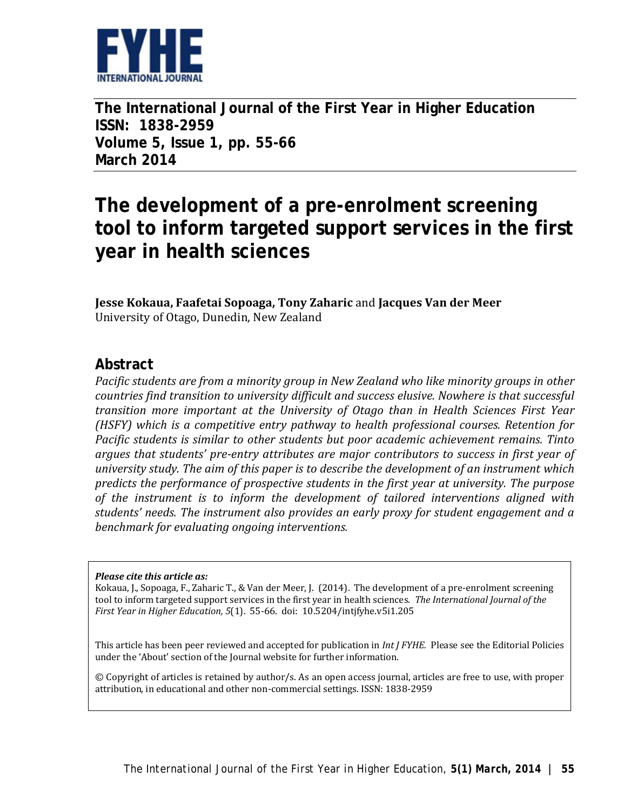

**The International Journal of the First Year in Higher Education ISSN: 1838-2959 Volume 5, Issue 1, pp. 55-66 March 2014**

# **The development of a pre-enrolment screening tool to inform targeted support services in the first year in health sciences**

**Jesse Kokaua, Faafetai Sopoaga, Tony Zaharic** and **Jacques Van der Meer** University of Otago, Dunedin, New Zealand

#### **Abstract**

*Pacific students are from a minority group in New Zealand who like minority groups in other countries find transition to university difficult and success elusive. Nowhere is that successful transition more important at the University of Otago than in Health Sciences First Year (HSFY) which is a competitive entry pathway to health professional courses. Retention for Pacific students is similar to other students but poor academic achievement remains. Tinto argues that students' pre-entry attributes are major contributors to success in first year of university study. The aim of this paper is to describe the development of an instrument which predicts the performance of prospective students in the first year at university. The purpose of the instrument is to inform the development of tailored interventions aligned with students' needs. The instrument also provides an early proxy for student engagement and a benchmark for evaluating ongoing interventions.* 

#### *Please cite this article as:*

Kokaua, J., Sopoaga, F., Zaharic T., & Van der Meer, J. (2014).The development of a pre-enrolment screening tool to inform targeted support services in the first year in health sciences. *The International Journal of the First Year in Higher Education, 5*(1). 55-66. doi: 10.5204/intjfyhe.v5i1.205

This article has been peer reviewed and accepted for publication in *Int J FYHE.* Please see the Editorial Policies under the 'About' section of the Journal website for further information.

© Copyright of articles is retained by author/s. As an open access journal, articles are free to use, with proper attribution, in educational and other non-commercial settings. ISSN: 1838-2959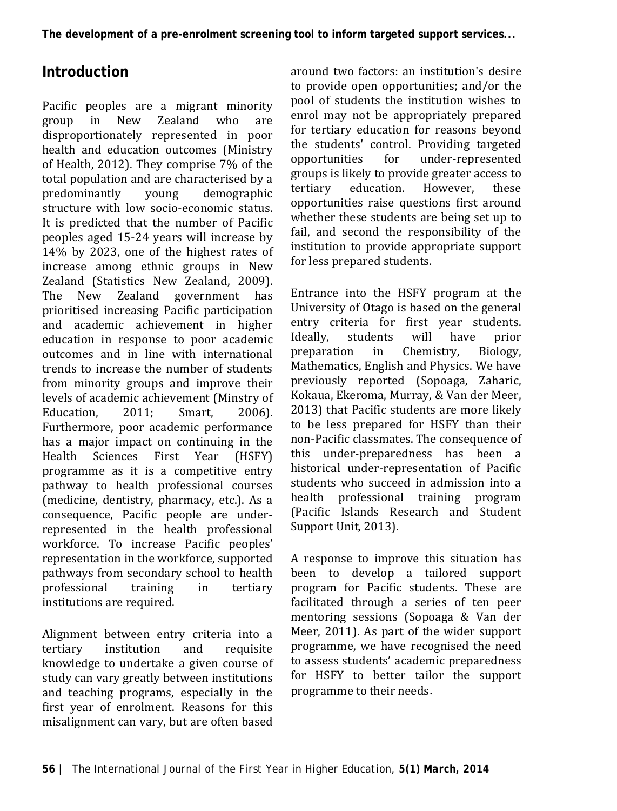# **Introduction**

Pacific peoples are a migrant minority<br>group in New Zealand who are group in New Zealand who are disproportionately represented in poor health and education outcomes [\(Ministry](#page-10-0)  [of Health, 2012\)](#page-10-0). They comprise 7% of the total population and are characterised by a<br>predominantly voung demographic demographic structure with low socio-economic status. It is predicted that the number of Pacific peoples aged 15-24 years will increase by 14% by 2023, one of the highest rates of increase among ethnic groups in New Zealand [\(Statistics New Zealand, 2009\)](#page-11-0). The New Zealand government prioritised increasing Pacific participation and academic achievement in higher education in response to poor academic outcomes and in line with international trends to increase the number of students from minority groups and improve their levels of academic achievement [\(Minstry of](#page-10-1) Education. 2011: Smart. 2006). [Education, 2011;](#page-10-1) [Smart, 2006\)](#page-11-1). Furthermore, poor academic performance has a major impact on continuing in the<br>Health Sciences First Year (HSFY) Health Sciences First Year (HSFY) programme as it is a competitive entry pathway to health professional courses (medicine, dentistry, pharmacy, etc.). As a consequence, Pacific people are underrepresented in the health professional workforce. To increase Pacific peoples' representation in the workforce, supported pathways from secondary school to health<br>professional training in tertiary professional institutions are required.

Alignment between entry criteria into a<br>tertiary institution and requisite institution knowledge to undertake a given course of study can vary greatly between institutions and teaching programs, especially in the first year of enrolment. Reasons for this misalignment can vary, but are often based

around two factors: an institution's desire to provide open opportunities; and/or the pool of students the institution wishes to enrol may not be appropriately prepared for tertiary education for reasons beyond the students' control. Providing targeted<br>opportunities for under-represented under-represented groups is likely to provide greater access to<br>tertiary education. However, these education. opportunities raise questions first around whether these students are being set up to fail, and second the responsibility of the institution to provide appropriate support for less prepared students.

Entrance into the HSFY program at the University of Otago is based on the general entry criteria for first year students.<br>Ideally, students will have prior students will have prior<br>in Chemistry, Biology, preparation Mathematics, English and Physics. We have previously reported [\(Sopoaga, Zaharic,](#page-11-2)  [Kokaua, Ekeroma, Murray, & Van der Meer,](#page-11-2)  [2013\)](#page-11-2) that Pacific students are more likely to be less prepared for HSFY than their non-Pacific classmates. The consequence of this under-preparedness has been a historical under-representation of Pacific students who succeed in admission into a health professional training program [\(Pacific Islands Research and Student](#page-10-2)  [Support Unit, 2013\)](#page-10-2).

A response to improve this situation has been to develop a tailored support program for Pacific students. These are facilitated through a series of ten peer mentoring sessions [\(Sopoaga & Van der](#page-11-3)  [Meer, 2011\)](#page-11-3). As part of the wider support programme, we have recognised the need to assess students' academic preparedness for HSFY to better tailor the support programme to their needs.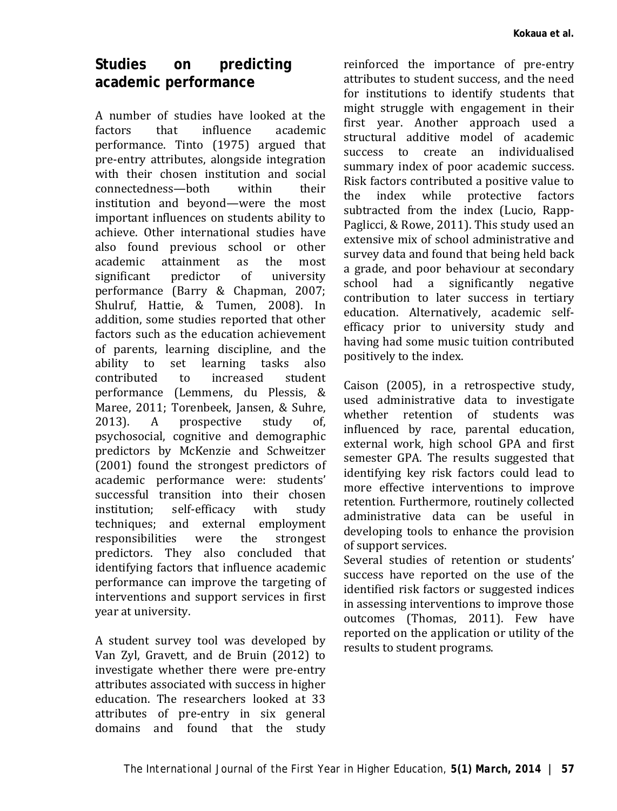# **Studies on predicting academic performance**

A number of studies have looked at the<br>factors that influence academic influence performance. [Tinto \(1975\)](#page-11-4) argued that pre-entry attributes, alongside integration with their chosen institution and social<br>connectedness—hoth within their connectedness—both institution and beyond—were the most important influences on students ability to achieve. Other international studies have also found previous school or other<br>academic attainment as the most academic attainment as the most<br>significant predictor of university significant predictor of university performance [\(Barry & Chapman, 2007;](#page-10-3) [Shulruf, Hattie, & Tumen, 2008\)](#page-11-5). In addition, some studies reported that other factors such as the education achievement of parents, learning discipline, and the ability to set learning tasks also<br>contributed to increased student contributed performance [\(Lemmens, du Plessis, &](#page-10-4)  [Maree, 2011;](#page-10-4) Torenbeek, Jansen, & Suhre,<br>2013). A prospective study of. prospective psychosocial, cognitive and demographic predictors by [McKenzie and Schweitzer](#page-10-5)  (2001) found the strongest predictors of academic performance were: students' successful transition into their chosen<br>institution: self-efficacy with study institution; self-efficacy with study techniques; and external employment responsibilities were the strongest predictors. They also concluded that identifying factors that influence academic performance can improve the targeting of interventions and support services in first year at university.

A student survey tool was developed by [Van Zyl, Gravett, and de Bruin \(2012\)](#page-11-6) to investigate whether there were pre-entry attributes associated with success in higher education. The researchers looked at 33 attributes of pre-entry in six general domains and found that the study

reinforced the importance of pre-entry attributes to student success, and the need for institutions to identify students that might struggle with engagement in their first year. Another approach used a structural additive model of academic success to create an individualised summary index of poor academic success. Risk factors contributed a positive value to<br>the index while protective factors index while protective factors subtracted from the index [\(Lucio, Rapp-](#page-10-6)[Paglicci, & Rowe, 2011\)](#page-10-6). This study used an extensive mix of school administrative and survey data and found that being held back a grade, and poor behaviour at secondary school had a significantly negative contribution to later success in tertiary education. Alternatively, academic selfefficacy prior to university study and having had some music tuition contributed positively to the index.

[Caison \(2005\),](#page-10-7) in a retrospective study, used administrative data to investigate whether retention of students was influenced by race, parental education, external work, high school GPA and first semester GPA. The results suggested that identifying key risk factors could lead to more effective interventions to improve retention. Furthermore, routinely collected administrative data can be useful in developing tools to enhance the provision of support services.

Several studies of retention or students' success have reported on the use of the identified risk factors or suggested indices in assessing interventions to improve those outcomes [\(Thomas, 2011\)](#page-11-7). Few have reported on the application or utility of the results to student programs.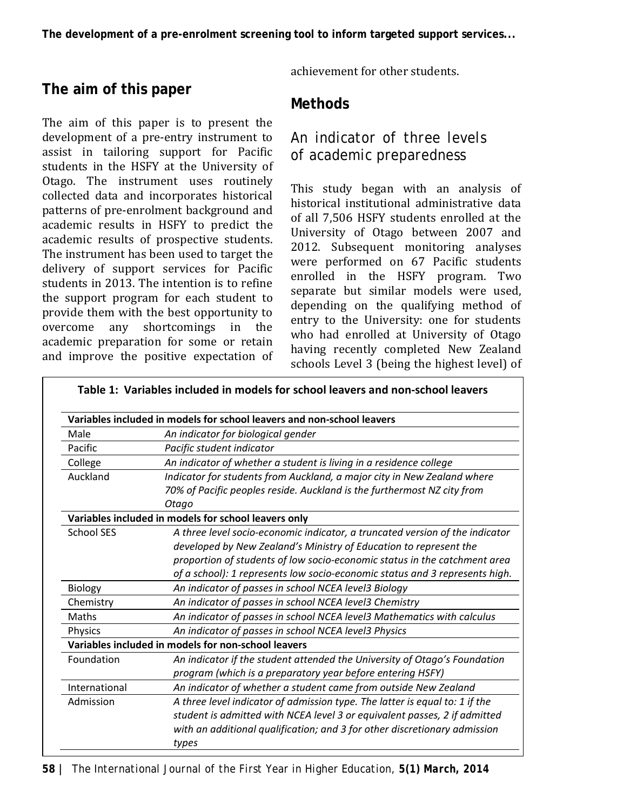# **The aim of this paper**

The aim of this paper is to present the development of a pre-entry instrument to assist in tailoring support for Pacific students in the HSFY at the University of Otago. The instrument uses routinely collected data and incorporates historical patterns of pre-enrolment background and academic results in HSFY to predict the academic results of prospective students. The instrument has been used to target the delivery of support services for Pacific students in 2013. The intention is to refine the support program for each student to provide them with the best opportunity to overcome any shortcomings in the academic preparation for some or retain and improve the positive expectation of achievement for other students.

#### **Methods**

## *An indicator of three levels of academic preparedness*

This study began with an analysis of historical institutional administrative data of all 7,506 HSFY students enrolled at the University of Otago between 2007 and 2012. Subsequent monitoring analyses were performed on 67 Pacific students enrolled in the HSFY program. Two separate but similar models were used, depending on the qualifying method of entry to the University: one for students who had enrolled at University of Otago having recently completed New Zealand schools Level 3 (being the highest level) of

|                   | Variables included in models for school leavers and non-school leavers       |  |  |
|-------------------|------------------------------------------------------------------------------|--|--|
| Male              | An indicator for biological gender                                           |  |  |
| Pacific           | Pacific student indicator                                                    |  |  |
| College           | An indicator of whether a student is living in a residence college           |  |  |
| Auckland          | Indicator for students from Auckland, a major city in New Zealand where      |  |  |
|                   | 70% of Pacific peoples reside. Auckland is the furthermost NZ city from      |  |  |
|                   | Otago                                                                        |  |  |
|                   | Variables included in models for school leavers only                         |  |  |
| <b>School SES</b> | A three level socio-economic indicator, a truncated version of the indicator |  |  |
|                   | developed by New Zealand's Ministry of Education to represent the            |  |  |
|                   | proportion of students of low socio-economic status in the catchment area    |  |  |
|                   | of a school): 1 represents low socio-economic status and 3 represents high.  |  |  |
| Biology           | An indicator of passes in school NCEA level3 Biology                         |  |  |
| Chemistry         | An indicator of passes in school NCEA level3 Chemistry                       |  |  |
| Maths             | An indicator of passes in school NCEA level3 Mathematics with calculus       |  |  |
| <b>Physics</b>    | An indicator of passes in school NCEA level3 Physics                         |  |  |
|                   | Variables included in models for non-school leavers                          |  |  |
| Foundation        | An indicator if the student attended the University of Otago's Foundation    |  |  |
|                   | program (which is a preparatory year before entering HSFY)                   |  |  |
| International     | An indicator of whether a student came from outside New Zealand              |  |  |
| Admission         | A three level indicator of admission type. The latter is equal to: 1 if the  |  |  |
|                   | student is admitted with NCEA level 3 or equivalent passes, 2 if admitted    |  |  |
|                   | with an additional qualification; and 3 for other discretionary admission    |  |  |
|                   | types                                                                        |  |  |

**Table 1: Variables included in models for school leavers and non-school leavers**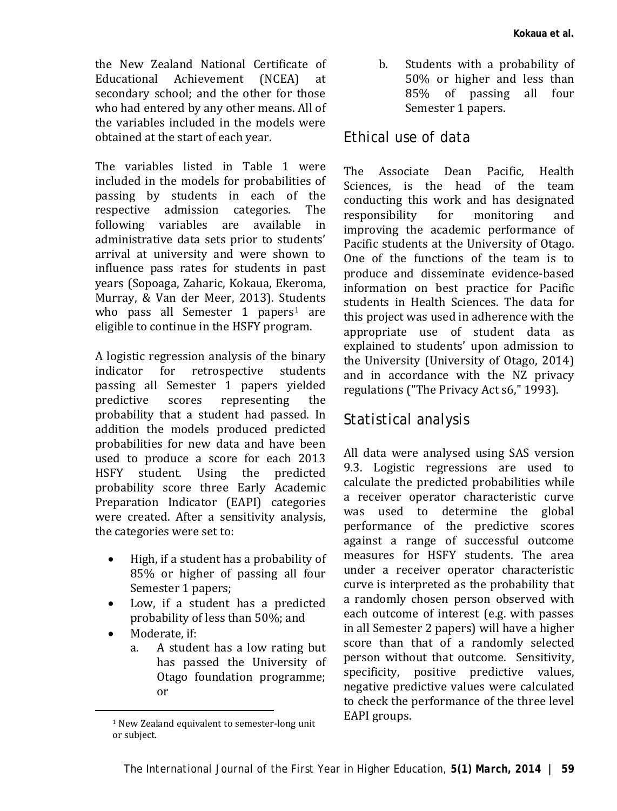the New Zealand National Certificate of<br>Educational Achievement (NCEA) at Educational Achievement (NCEA) secondary school; and the other for those who had entered by any other means. All of the variables included in the models were obtained at the start of each year.

The variables listed in Table 1 were included in the models for probabilities of passing by students in each of the<br>respective admission categories. The respective admission categories. The<br>following variables are available in following variables are administrative data sets prior to students' arrival at university and were shown to influence pass rates for students in past years [\(Sopoaga, Zaharic, Kokaua, Ekeroma,](#page-11-2)  Murray, [& Van der Meer, 2013\)](#page-11-2). St[ud](#page-4-0)ents who pass all Semester 1 papers<sup>1</sup> are eligible to continue in the HSFY program.

A logistic regression analysis of the binary<br>indicator for retrospective students retrospective passing all Semester 1 papers yielded<br>predictive scores representing the representing probability that a student had passed. In addition the models produced predicted probabilities for new data and have been used to produce a score for each 2013 HSFY student. Using the predicted probability score three Early Academic Preparation Indicator (EAPI) categories were created. After a sensitivity analysis, the categories were set to:

- High, if a student has a probability of 85% or higher of passing all four Semester 1 papers;
- Low, if a student has a predicted probability of less than 50%; and
- Moderate, if:<br>a A stude

<span id="page-4-0"></span>**.** 

a. A student has a low rating but has passed the University of Otago foundation programme; or

b. Students with a probability of 50% or higher and less than 85% of passing all four Semester 1 papers.

#### *Ethical use of data*

The Associate Dean Pacific, Health Sciences, is the head of the team conducting this work and has designated<br>responsibility for monitoring and responsibility improving the academic performance of Pacific students at the University of Otago. One of the functions of the team is to produce and disseminate evidence-based information on best practice for Pacific students in Health Sciences. The data for this project was used in adherence with the appropriate use of student data as explained to students' upon admission to the University [\(University of Otago, 2014\)](#page-11-8) and in accordance with the NZ privacy regulations [\("The Privacy Act s6," 1993\)](#page-10-8).

## *Statistical analysis*

All data were analysed using SAS version 9.3. Logistic regressions are used to calculate the predicted probabilities while a receiver operator characteristic curve was used to determine the global performance of the predictive scores against a range of successful outcome measures for HSFY students. The area under a receiver operator characteristic curve is interpreted as the probability that a randomly chosen person observed with each outcome of interest (e.g. with passes in all Semester 2 papers) will have a higher score than that of a randomly selected person without that outcome. Sensitivity, specificity, positive predictive values, negative predictive values were calculated to check the performance of the three level EAPI groups.

<sup>1</sup> New Zealand equivalent to semester-long unit or subject.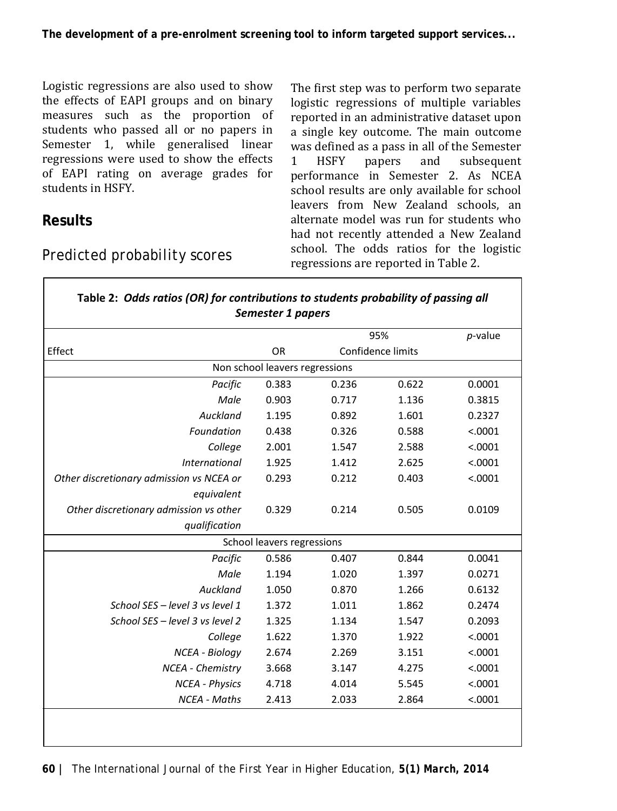**The development of a pre-enrolment screening tool to inform targeted support services...**

Logistic regressions are also used to show the effects of EAPI groups and on binary measures such as the proportion of students who passed all or no papers in Semester 1, while generalised linear regressions were used to show the effects of EAPI rating on average grades for students in HSFY.

#### **Results**

г

## *Predicted probability scores*

The first step was to perform two separate logistic regressions of multiple variables reported in an administrative dataset upon a single key outcome. The main outcome was defined as a pass in all of the Semester<br>1 HSFY papers and subsequent 1 HSFY papers and subsequent performance in Semester 2. As NCEA school results are only available for school leavers from New Zealand schools, an alternate model was run for students who had not recently attended a New Zealand school. The odds ratios for the logistic regressions are reported in Table 2.

|                                          | Semester 1 papers          |       |                          |         |  |  |  |  |
|------------------------------------------|----------------------------|-------|--------------------------|---------|--|--|--|--|
|                                          |                            | 95%   | $p$ -value               |         |  |  |  |  |
| Effect                                   | <b>OR</b>                  |       | <b>Confidence limits</b> |         |  |  |  |  |
| Non school leavers regressions           |                            |       |                          |         |  |  |  |  |
| Pacific                                  | 0.383                      | 0.236 | 0.622                    | 0.0001  |  |  |  |  |
| Male                                     | 0.903                      | 0.717 | 1.136                    | 0.3815  |  |  |  |  |
| Auckland                                 | 1.195                      | 0.892 | 1.601                    | 0.2327  |  |  |  |  |
| Foundation                               | 0.438                      | 0.326 | 0.588                    | < .0001 |  |  |  |  |
| College                                  | 2.001                      | 1.547 | 2.588                    | < .0001 |  |  |  |  |
| <b>International</b>                     | 1.925                      | 1.412 | 2.625                    | < .0001 |  |  |  |  |
| Other discretionary admission vs NCEA or | 0.293                      | 0.212 | 0.403                    | < .0001 |  |  |  |  |
| equivalent                               |                            |       |                          |         |  |  |  |  |
| Other discretionary admission vs other   | 0.329                      | 0.214 | 0.505                    | 0.0109  |  |  |  |  |
| qualification                            |                            |       |                          |         |  |  |  |  |
|                                          | School leavers regressions |       |                          |         |  |  |  |  |
| Pacific                                  | 0.586                      | 0.407 | 0.844                    | 0.0041  |  |  |  |  |
| Male                                     | 1.194                      | 1.020 | 1.397                    | 0.0271  |  |  |  |  |
| Auckland                                 | 1.050                      | 0.870 | 1.266                    | 0.6132  |  |  |  |  |
| School SES - level 3 vs level 1          | 1.372                      | 1.011 | 1.862                    | 0.2474  |  |  |  |  |
| School SES - level 3 vs level 2          | 1.325                      | 1.134 | 1.547                    | 0.2093  |  |  |  |  |
| College                                  | 1.622                      | 1.370 | 1.922                    | < .0001 |  |  |  |  |
| NCEA - Biology                           | 2.674                      | 2.269 | 3.151                    | < .0001 |  |  |  |  |
| NCEA - Chemistry                         | 3.668                      | 3.147 | 4.275                    | < .0001 |  |  |  |  |
| <b>NCEA</b> - Physics                    | 4.718                      | 4.014 | 5.545                    | < .0001 |  |  |  |  |
| <b>NCEA - Maths</b>                      | 2.413                      | 2.033 | 2.864                    | < .0001 |  |  |  |  |
|                                          |                            |       |                          |         |  |  |  |  |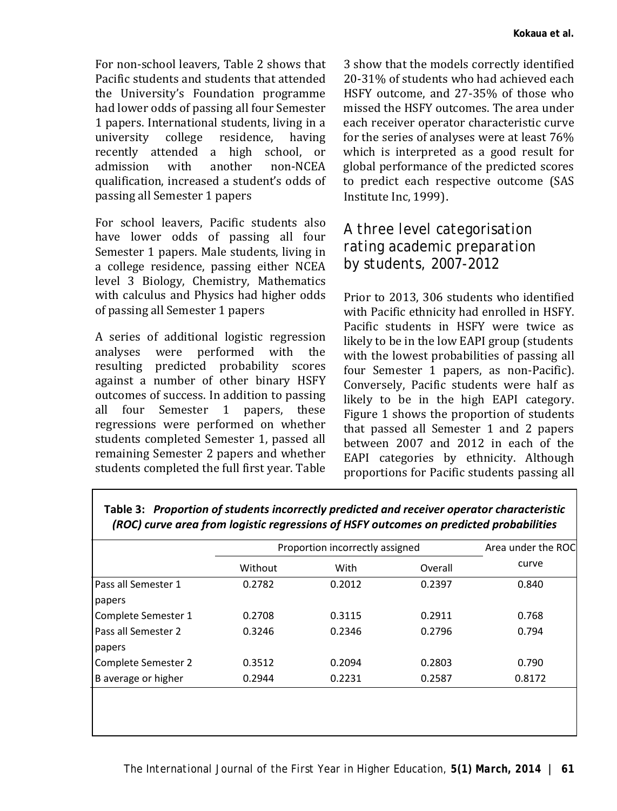For non-school leavers, Table 2 shows that Pacific students and students that attended the University's Foundation programme had lower odds of passing all four Semester 1 papers. International students, living in a<br>university college residence. having university college residence, having recently attended a high school, or admission with another non-NCEA qualification, increased a student's odds of passing all Semester 1 papers

For school leavers, Pacific students also have lower odds of passing all four Semester 1 papers. Male students, living in a college residence, passing either NCEA level 3 Biology, Chemistry, Mathematics with calculus and Physics had higher odds of passing all Semester 1 papers

A series of additional logistic regression<br>analyses were performed with the were performed with the resulting predicted probability scores against a number of other binary HSFY outcomes of success. In addition to passing<br>all four Semester 1 papers. these four Semester  $1$  papers, these regressions were performed on whether students completed Semester 1, passed all remaining Semester 2 papers and whether students completed the full first year. Table

3 show that the models correctly identified 20-31% of students who had achieved each HSFY outcome, and 27-35% of those who missed the HSFY outcomes. The area under each receiver operator characteristic curve for the series of analyses were at least 76% which is interpreted as a good result for global performance of the predicted scores to predict each respective outcome [\(SAS](#page-10-9)  [Institute Inc, 1999\)](#page-10-9).

#### *A three level categorisation rating academic preparation by students, 2007-2012*

Prior to 2013, 306 students who identified with Pacific ethnicity had enrolled in HSFY. Pacific students in HSFY were twice as likely to be in the low EAPI group (students with the lowest probabilities of passing all four Semester 1 papers, as non-Pacific). Conversely, Pacific students were half as likely to be in the high EAPI category. Figure 1 shows the proportion of students that passed all Semester 1 and 2 papers between 2007 and 2012 in each of the EAPI categories by ethnicity. Although proportions for Pacific students passing all

|                     | Proportion incorrectly assigned | Area under the ROC |         |        |
|---------------------|---------------------------------|--------------------|---------|--------|
|                     | Without                         | With               | Overall | curve  |
| Pass all Semester 1 | 0.2782                          | 0.2012             | 0.2397  | 0.840  |
| papers              |                                 |                    |         |        |
| Complete Semester 1 | 0.2708                          | 0.3115             | 0.2911  | 0.768  |
| Pass all Semester 2 | 0.3246                          | 0.2346             | 0.2796  | 0.794  |
| papers              |                                 |                    |         |        |
| Complete Semester 2 | 0.3512                          | 0.2094             | 0.2803  | 0.790  |
| B average or higher | 0.2944                          | 0.2231             | 0.2587  | 0.8172 |
|                     |                                 |                    |         |        |
|                     |                                 |                    |         |        |
|                     |                                 |                    |         |        |

**Table 3:** *Proportion of students incorrectly predicted and receiver operator characteristic (ROC) curve area from logistic regressions of HSFY outcomes on predicted probabilities*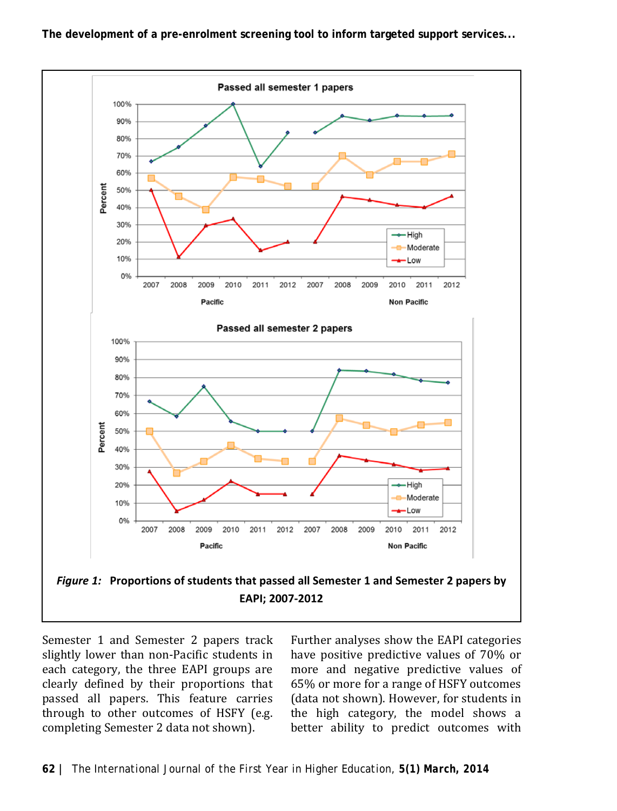**The development of a pre-enrolment screening tool to inform targeted support services...**



Semester 1 and Semester 2 papers track slightly lower than non-Pacific students in each category, the three EAPI groups are clearly defined by their proportions that passed all papers. This feature carries through to other outcomes of HSFY (e.g. completing Semester 2 data not shown).

Further analyses show the EAPI categories have positive predictive values of 70% or more and negative predictive values of 65% or more for a range of HSFY outcomes (data not shown). However, for students in the high category, the model shows a better ability to predict outcomes with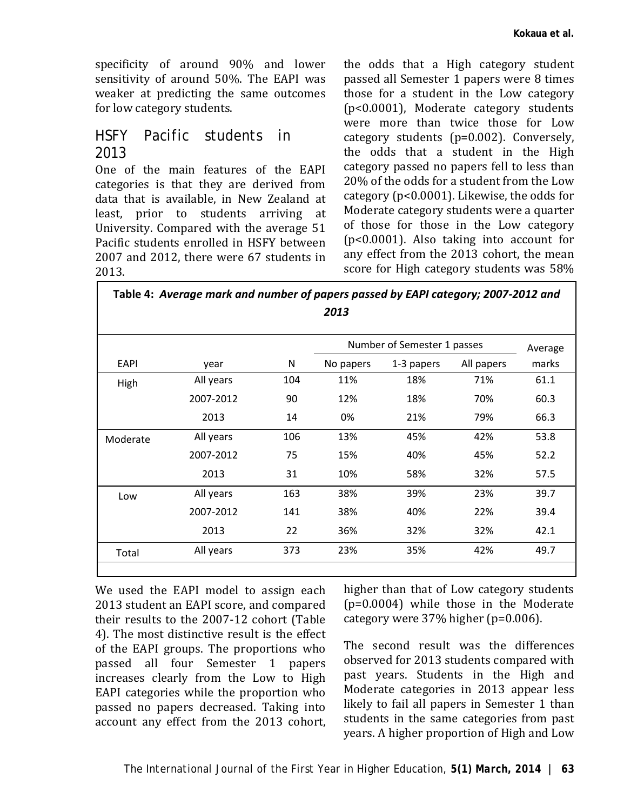specificity of around 90% and lower sensitivity of around 50%. The EAPI was weaker at predicting the same outcomes for low category students.

#### *HSFY Pacific students in 2013*

One of the main features of the EAPI categories is that they are derived from data that is available, in New Zealand at least, prior to students arriving at University. Compared with the average 51 Pacific students enrolled in HSFY between 2007 and 2012, there were 67 students in 2013.

the odds that a High category student passed all Semester 1 papers were 8 times those for a student in the Low category (p<0.0001), Moderate category students were more than twice those for Low category students (p=0.002). Conversely, the odds that a student in the High category passed no papers fell to less than 20% of the odds for a student from the Low category (p<0.0001). Likewise, the odds for Moderate category students were a quarter of those for those in the Low category (p<0.0001). Also taking into account for any effect from the 2013 cohort, the mean score for High category students was 58%

**Table 4:** *Average mark and number of papers passed by EAPI category; 2007-2012 and 2013*

| year<br>All years<br>2007-2012<br>2013 | N<br>104<br>90<br>14 | No papers<br>11%<br>12% | 1-3 papers<br>18%<br>18% | All papers<br>71%<br>70% | marks<br>61.1 |
|----------------------------------------|----------------------|-------------------------|--------------------------|--------------------------|---------------|
|                                        |                      |                         |                          |                          |               |
|                                        |                      |                         |                          |                          |               |
|                                        |                      |                         |                          |                          | 60.3          |
|                                        |                      | 0%                      | 21%                      | 79%                      | 66.3          |
| All years                              | 106                  | 13%                     | 45%                      | 42%                      | 53.8          |
| 2007-2012                              | 75                   | 15%                     | 40%                      | 45%                      | 52.2          |
| 2013                                   | 31                   | 10%                     | 58%                      | 32%                      | 57.5          |
| All years                              | 163                  | 38%                     | 39%                      | 23%                      | 39.7          |
| 2007-2012                              | 141                  | 38%                     | 40%                      | 22%                      | 39.4          |
| 2013                                   | 22                   | 36%                     | 32%                      | 32%                      | 42.1          |
|                                        | 373                  | 23%                     | 35%                      | 42%                      | 49.7          |
|                                        | All years            |                         |                          |                          |               |

We used the EAPI model to assign each 2013 student an EAPI score, and compared their results to the 2007-12 cohort (Table 4). The most distinctive result is the effect of the EAPI groups. The proportions who passed all four Semester 1 papers increases clearly from the Low to High EAPI categories while the proportion who passed no papers decreased. Taking into account any effect from the 2013 cohort,

higher than that of Low category students (p=0.0004) while those in the Moderate category were 37% higher (p=0.006).

The second result was the differences observed for 2013 students compared with past years. Students in the High and Moderate categories in 2013 appear less likely to fail all papers in Semester 1 than students in the same categories from past years. A higher proportion of High and Low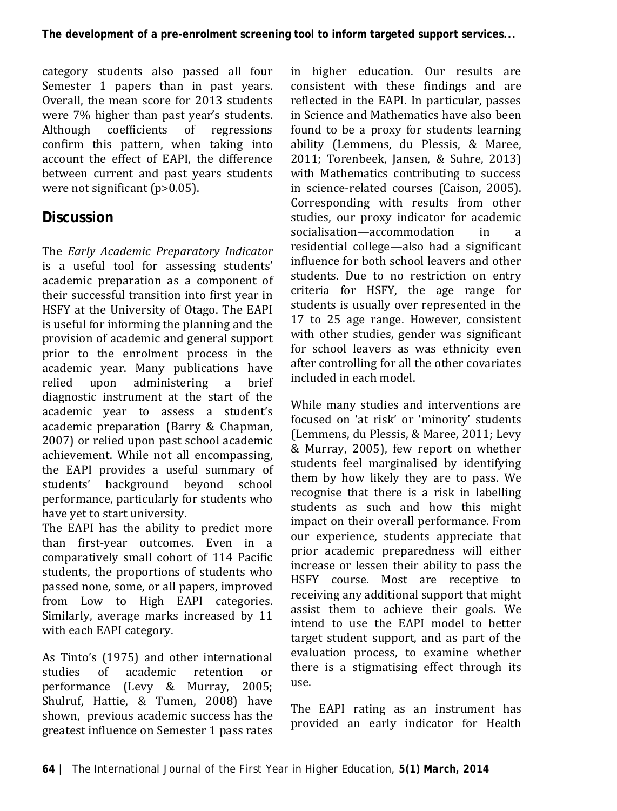category students also passed all four Semester 1 papers than in past years. Overall, the mean score for 2013 students were 7% higher than past year's students.<br>Although coefficients of regressions coefficients of confirm this pattern, when taking into account the effect of EAPI, the difference between current and past years students were not significant (p>0.05).

# **Discussion**

The *Early Academic Preparatory Indicator* is a useful tool for assessing students' academic preparation as a component of their successful transition into first year in HSFY at the University of Otago. The EAPI is useful for informing the planning and the provision of academic and general support prior to the enrolment process in the academic year. Many publications have<br>relied upon administering a brief upon administering a diagnostic instrument at the start of the academic year to assess a student's academic preparation [\(Barry & Chapman,](#page-10-3)  [2007\)](#page-10-3) or relied upon past school academic achievement. While not all encompassing, the EAPI provides a useful summary of students' background beyond school performance, particularly for students who have yet to start university.

The EAPI has the ability to predict more than first-year outcomes. Even in a comparatively small cohort of 114 Pacific students, the proportions of students who passed none, some, or all papers, improved from Low to High EAPI categories. Similarly, average marks increased by 11 with each EAPI category.

As Tinto's (1975) and other international<br>studies of academic retention or studies of academic retention or performance [\(Levy & Murray, 2005;](#page-10-10) [Shulruf, Hattie, & Tumen, 2008\)](#page-11-5) have shown, previous academic success has the greatest influence on Semester 1 pass rates

in higher education. Our results are consistent with these findings and are reflected in the EAPI. In particular, passes in Science and Mathematics have also been found to be a proxy for students learning ability [\(Lemmens, du Plessis, & Maree,](#page-10-4)  [2011;](#page-10-4) [Torenbeek, Jansen, & Suhre, 2013\)](#page-11-6) with Mathematics contributing to success in science-related courses [\(Caison, 2005\)](#page-10-7). Corresponding with results from other studies, our proxy indicator for academic<br>socialisation—accommodation in a socialisation—accommodation residential college—also had a significant influence for both school leavers and other students. Due to no restriction on entry criteria for HSFY, the age range for students is usually over represented in the 17 to 25 age range. However, consistent with other studies, gender was significant for school leavers as was ethnicity even after controlling for all the other covariates included in each model.

While many studies and interventions are focused on 'at risk' or 'minority' students [\(Lemmens, du Plessis, & Maree, 2011;](#page-10-4) [Levy](#page-10-10)  [& Murray, 2005\)](#page-10-10), few report on whether students feel marginalised by identifying them by how likely they are to pass. We recognise that there is a risk in labelling students as such and how this might impact on their overall performance. From our experience, students appreciate that prior academic preparedness will either increase or lessen their ability to pass the HSFY course. Most are receptive to receiving any additional support that might assist them to achieve their goals. We intend to use the EAPI model to better target student support, and as part of the evaluation process, to examine whether there is a stigmatising effect through its use.

The EAPI rating as an instrument has provided an early indicator for Health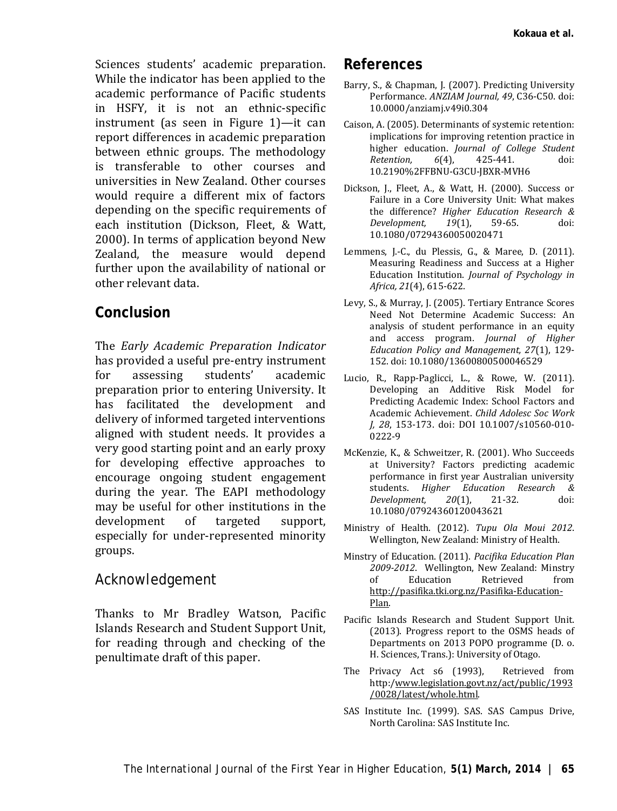Sciences students' academic preparation. While the indicator has been applied to the academic performance of Pacific students in HSFY, it is not an ethnic-specific instrument (as seen in Figure 1)—it can report differences in academic preparation between ethnic groups. The methodology is transferable to other courses and universities in New Zealand. Other courses would require a different mix of factors depending on the specific requirements of each institution [\(Dickson, Fleet, & Watt,](#page-10-11)  [2000\)](#page-10-11). In terms of application beyond New Zealand, the measure would depend further upon the availability of national or other relevant data.

#### **Conclusion**

The *Early Academic Preparation Indicator* has provided a useful pre-entry instrument<br>for assessing students' academic academic preparation prior to entering University. It has facilitated the development and delivery of informed targeted interventions aligned with student needs. It provides a very good starting point and an early proxy for developing effective approaches to encourage ongoing student engagement during the year. The EAPI methodology may be useful for other institutions in the<br>development of targeted support. development of targeted support, especially for under-represented minority groups.

#### *Acknowledgement*

Thanks to Mr Bradley Watson, Pacific Islands Research and Student Support Unit, for reading through and checking of the penultimate draft of this paper.

#### **References**

- <span id="page-10-3"></span>Barry, S., & Chapman, J. (2007). Predicting University Performance. *ANZIAM Journal, 49*, C36-C50. doi: 10.0000/anziamj.v49i0.304
- <span id="page-10-7"></span>Caison, A. (2005). Determinants of systemic retention: implications for improving retention practice in higher education. *Journal of College Student*   $R$ *etention*. 10.2190%2FFBNU-G3CU-JBXR-MVH6
- <span id="page-10-11"></span>Dickson, J., Fleet, A., & Watt, H. (2000). Success or Failure in a Core University Unit: What makes the difference? *Higher Education Research & Development*. 10.1080/07294360050020471
- <span id="page-10-4"></span>Lemmens, J.-C., du Plessis, G., & Maree, D. (2011). Measuring Readiness and Success at a Higher Education Institution. *Journal of Psychology in Africa, 21*(4), 615-622.
- <span id="page-10-10"></span>Levy, S., & Murray, J. (2005). Tertiary Entrance Scores Need Not Determine Academic Success: An analysis of student performance in an equity and access program. *Journal of Higher Education Policy and Management, 27*(1), 129- 152. doi: 10.1080/13600800500046529
- <span id="page-10-6"></span>Lucio, R., Rapp-Paglicci, L., & Rowe, W. (2011). Developing an Additive Risk Model for Predicting Academic Index: School Factors and Academic Achievement. *Child Adolesc Soc Work J, 28*, 153-173. doi: DOI 10.1007/s10560-010- 0222-9
- <span id="page-10-5"></span>McKenzie, K., & Schweitzer, R. (2001). Who Succeeds at University? Factors predicting academic performance in first year Australian university<br>students Higher Education Research & students. *Higher Education Research &*   $Develooment.$ 10.1080/07924360120043621
- <span id="page-10-0"></span>Ministry of Health. (2012). *Tupu Ola Moui 2012*. Wellington, New Zealand: Ministry of Health.
- <span id="page-10-1"></span>Minstry of Education. (2011). *Pacifika Education Plan 2009-2012*. Wellington, New Zealand: Minstry of Education Retrieved from [http://pasifika.tki.org.nz/Pasifika-Education-](http://pasifika.tki.org.nz/Pasifika-Education-Plan)[Plan.](http://pasifika.tki.org.nz/Pasifika-Education-Plan)
- <span id="page-10-2"></span>Pacific Islands Research and Student Support Unit. (2013). Progress report to the OSMS heads of Departments on 2013 POPO programme (D. o. H. Sciences, Trans.): University of Otago.
- <span id="page-10-8"></span>The Privacy Act s6 (1993), Retrieved from http:[/www.legislation.govt.nz/act/public/1993](http://www.legislation.govt.nz/act/public/1993/0028/latest/whole.html‎) [/0028/latest/whole.html.](http://www.legislation.govt.nz/act/public/1993/0028/latest/whole.html‎)
- <span id="page-10-9"></span>SAS Institute Inc. (1999). SAS. SAS Campus Drive, North Carolina: SAS Institute Inc.